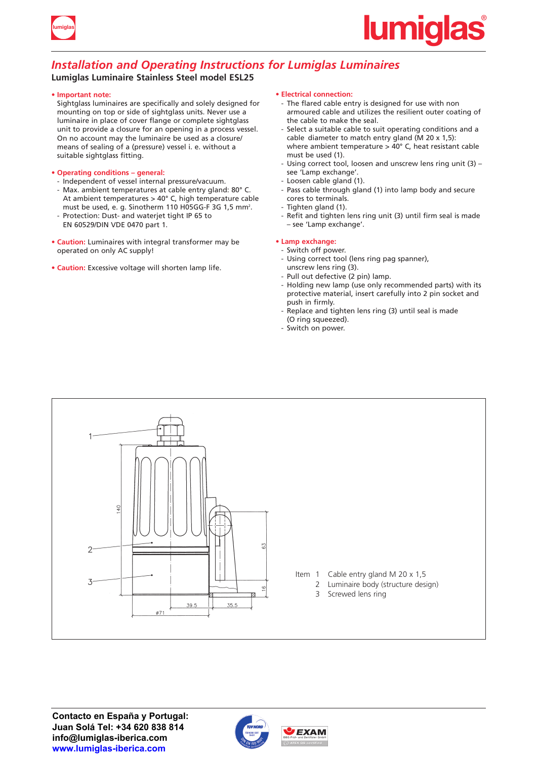

# *Installation and Operating Instructions for Lumiglas Luminaires*

## **Lumiglas Luminaire Stainless Steel model ESL25**

#### **• Important note:**

Sightglass luminaires are specifically and solely designed for mounting on top or side of sightglass units. Never use a luminaire in place of cover flange or complete sightglass unit to provide a closure for an opening in a process vessel. On no account may the luminaire be used as a closure/ means of sealing of a (pressure) vessel i. e. without a suitable sightglass fitting.

#### **• Operating conditions – general:**

- Independent of vessel internal pressure/vacuum.
- Max. ambient temperatures at cable entry gland: 80° C. At ambient temperatures > 40° C, high temperature cable must be used, e. g. Sinotherm 110 H05GG-F 3G 1,5 mm<sup>2</sup>. - Protection: Dust- and waterjet tight IP 65 to
- EN 60529/DIN VDE 0470 part 1.
- **Caution:** Luminaires with integral transformer may be operated on only AC supply!
- **Caution:** Excessive voltage will shorten lamp life.

#### **• Electrical connection:**

- The flared cable entry is designed for use with non armoured cable and utilizes the resilient outer coating of the cable to make the seal.
- Select a suitable cable to suit operating conditions and a cable diameter to match entry gland (M 20 x 1,5): where ambient temperature  $>$  40 $^{\circ}$  C, heat resistant cable must be used (1).
- Using correct tool, loosen and unscrew lens ring unit (3) see 'Lamp exchange'.
- Loosen cable gland (1).
- Pass cable through gland (1) into lamp body and secure cores to terminals.
- Tighten gland (1).
- Refit and tighten lens ring unit (3) until firm seal is made – see 'Lamp exchange'.

### **• Lamp exchange:**

- Switch off power.
- Using correct tool (lens ring pag spanner), unscrew lens ring (3).
- Pull out defective (2 pin) lamp.
- Holding new lamp (use only recommended parts) with its protective material, insert carefully into 2 pin socket and push in firmly.
- Replace and tighten lens ring (3) until seal is made
- (O ring squeezed).
- Switch on power.





**EXAM**